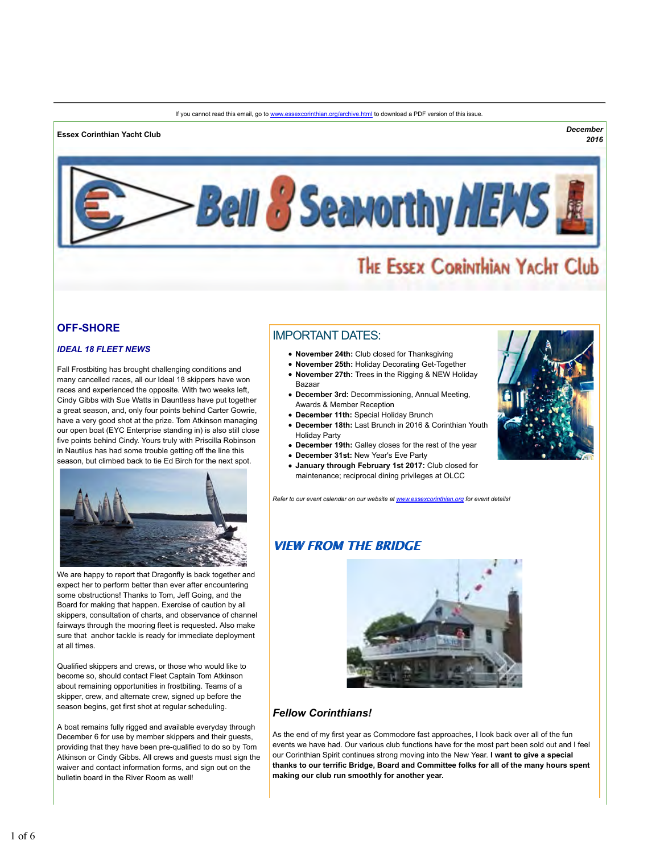#### If you cannot read this email, go to www.essexcorinthian.org/archive.html to download a PDF version of this issue.

# **Essex Corinthian Yacht Club** *December*

*2016*



# THE ESSEX CORINTHIAN YACHT Club

### **OFF-SHORE**

### *IDEAL 18 FLEET NEWS*

Fall Frostbiting has brought challenging conditions and many cancelled races, all our Ideal 18 skippers have won races and experienced the opposite. With two weeks left, Cindy Gibbs with Sue Watts in Dauntless have put together a great season, and, only four points behind Carter Gowrie, have a very good shot at the prize. Tom Atkinson managing our open boat (EYC Enterprise standing in) is also still close five points behind Cindy. Yours truly with Priscilla Robinson in Nautilus has had some trouble getting off the line this season, but climbed back to tie Ed Birch for the next spot.



We are happy to report that Dragonfly is back together and expect her to perform better than ever after encountering some obstructions! Thanks to Tom, Jeff Going, and the Board for making that happen. Exercise of caution by all skippers, consultation of charts, and observance of channel fairways through the mooring fleet is requested. Also make sure that anchor tackle is ready for immediate deployment at all times.

Qualified skippers and crews, or those who would like to become so, should contact Fleet Captain Tom Atkinson about remaining opportunities in frostbiting. Teams of a skipper, crew, and alternate crew, signed up before the season begins, get first shot at regular scheduling.

A boat remains fully rigged and available everyday through December 6 for use by member skippers and their guests, providing that they have been pre-qualified to do so by Tom Atkinson or Cindy Gibbs. All crews and guests must sign the waiver and contact information forms, and sign out on the bulletin board in the River Room as well!

# IMPORTANT DATES:

- **November 24th:** Club closed for Thanksgiving
- **November 25th:** Holiday Decorating Get-Together
- **November 27th:** Trees in the Rigging & NEW Holiday Bazaar
- **December 3rd:** Decommissioning, Annual Meeting, Awards & Member Reception
- **December 11th:** Special Holiday Brunch
- **December 18th:** Last Brunch in 2016 & Corinthian Youth Holiday Party
- **December 19th:** Galley closes for the rest of the year
- **December 31st:** New Year's Eve Party
- **January through February 1st 2017:** Club closed for maintenance; reciprocal dining privileges at OLCC

*Refer to our event calendar on our website at www.essexcorinthian.org for event details!*

# **VIEW FROM THE BRIDGE**



### *Fellow Corinthians!*

As the end of my first year as Commodore fast approaches, I look back over all of the fun events we have had. Our various club functions have for the most part been sold out and I feel our Corinthian Spirit continues strong moving into the New Year. **I want to give a special thanks to our terrific Bridge, Board and Committee folks for all of the many hours spent making our club run smoothly for another year.**

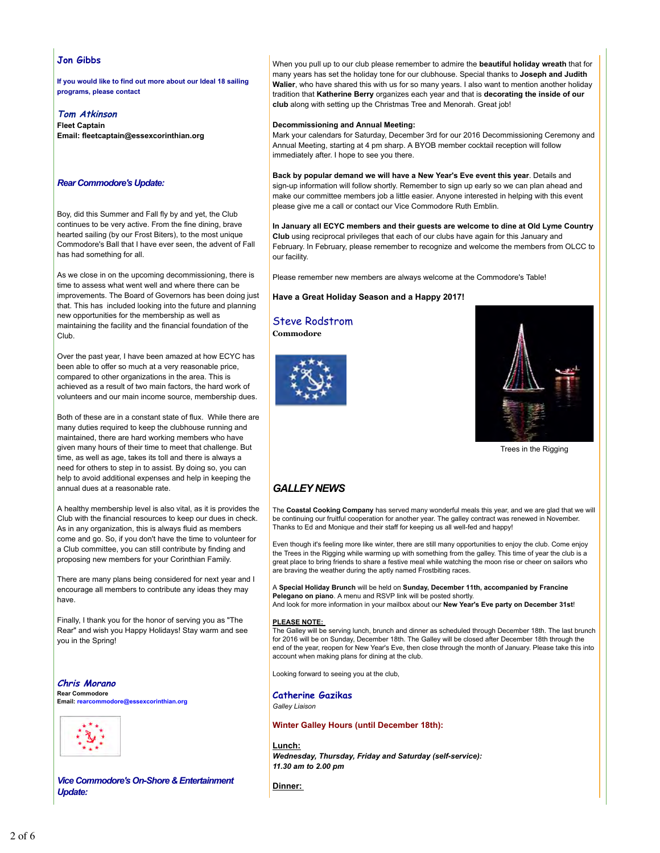### **Jon Gibbs**

**If you would like to find out more about our Ideal 18 sailing programs, please contact**

### **Tom Atkinson**

**Fleet Captain Email: fleetcaptain@essexcorinthian.org**

### *Rear Commodore's Update:*

Boy, did this Summer and Fall fly by and yet, the Club continues to be very active. From the fine dining, brave hearted sailing (by our Frost Biters), to the most unique Commodore's Ball that I have ever seen, the advent of Fall has had something for all.

As we close in on the upcoming decommissioning, there is time to assess what went well and where there can be improvements. The Board of Governors has been doing just that. This has included looking into the future and planning new opportunities for the membership as well as maintaining the facility and the financial foundation of the Club.

Over the past year, I have been amazed at how ECYC has been able to offer so much at a very reasonable price, compared to other organizations in the area. This is achieved as a result of two main factors, the hard work of volunteers and our main income source, membership dues.

Both of these are in a constant state of flux. While there are many duties required to keep the clubhouse running and maintained, there are hard working members who have given many hours of their time to meet that challenge. But time, as well as age, takes its toll and there is always a need for others to step in to assist. By doing so, you can help to avoid additional expenses and help in keeping the annual dues at a reasonable rate.

A healthy membership level is also vital, as it is provides the Club with the financial resources to keep our dues in check. As in any organization, this is always fluid as members come and go. So, if you don't have the time to volunteer for a Club committee, you can still contribute by finding and proposing new members for your Corinthian Family.

There are many plans being considered for next year and I encourage all members to contribute any ideas they may have.

Finally, I thank you for the honor of serving you as "The Rear" and wish you Happy Holidays! Stay warm and see you in the Spring!

**Chris Morano Rear Commodore Email: rearcommodore@essexcorinthian.org**



*Vice Commodore's On-Shore & Entertainment Update:*

When you pull up to our club please remember to admire the **beautiful holiday wreath** that for many years has set the holiday tone for our clubhouse. Special thanks to **Joseph and Judith Walier**, who have shared this with us for so many years. I also want to mention another holiday tradition that **Katherine Berry** organizes each year and that is **decorating the inside of our club** along with setting up the Christmas Tree and Menorah. Great job!

### **Decommissioning and Annual Meeting:**

Mark your calendars for Saturday, December 3rd for our 2016 Decommissioning Ceremony and Annual Meeting, starting at 4 pm sharp. A BYOB member cocktail reception will follow immediately after. I hope to see you there.

**Back by popular demand we will have a New Year's Eve event this year**. Details and sign-up information will follow shortly. Remember to sign up early so we can plan ahead and make our committee members job a little easier. Anyone interested in helping with this event please give me a call or contact our Vice Commodore Ruth Emblin.

**In January all ECYC members and their guests are welcome to dine at Old Lyme Country Club** using reciprocal privileges that each of our clubs have again for this January and February. In February, please remember to recognize and welcome the members from OLCC to our facility.

Please remember new members are always welcome at the Commodore's Table!

**Have a Great Holiday Season and a Happy 2017!**

Steve Rodstrom **Commodore**





Trees in the Rigging

# *GALLEY NEWS*

The **Coastal Cooking Company** has served many wonderful meals this year, and we are glad that we will be continuing our fruitful cooperation for another year. The galley contract was renewed in November. Thanks to Ed and Monique and their staff for keeping us all well-fed and happy!

Even though it's feeling more like winter, there are still many opportunities to enjoy the club. Come enjoy the Trees in the Rigging while warming up with something from the galley. This time of year the club is a great place to bring friends to share a festive meal while watching the moon rise or cheer on sailors who are braving the weather during the aptly named Frostbiting races.

A **Special Holiday Brunch** will be held on **Sunday, December 11th, accompanied by Francine Pelegano on piano**. A menu and RSVP link will be posted shortly. And look for more information in your mailbox about our **New Year's Eve party on December 31st**!

#### **PLEASE NOTE:**

The Galley will be serving lunch, brunch and dinner as scheduled through December 18th. The last brunch for 2016 will be on Sunday, December 18th. The Galley will be closed after December 18th through the end of the year, reopen for New Year's Eve, then close through the month of January. Please take this into account when making plans for dining at the club.

Looking forward to seeing you at the club,

**Catherine Gazikas** *Galley Liaison*

### **Winter Galley Hours (until December 18th):**

**Lunch:** *Wednesday, Thursday, Friday and Saturday (self-service): 11.30 am to 2.00 pm* 

**Dinner:**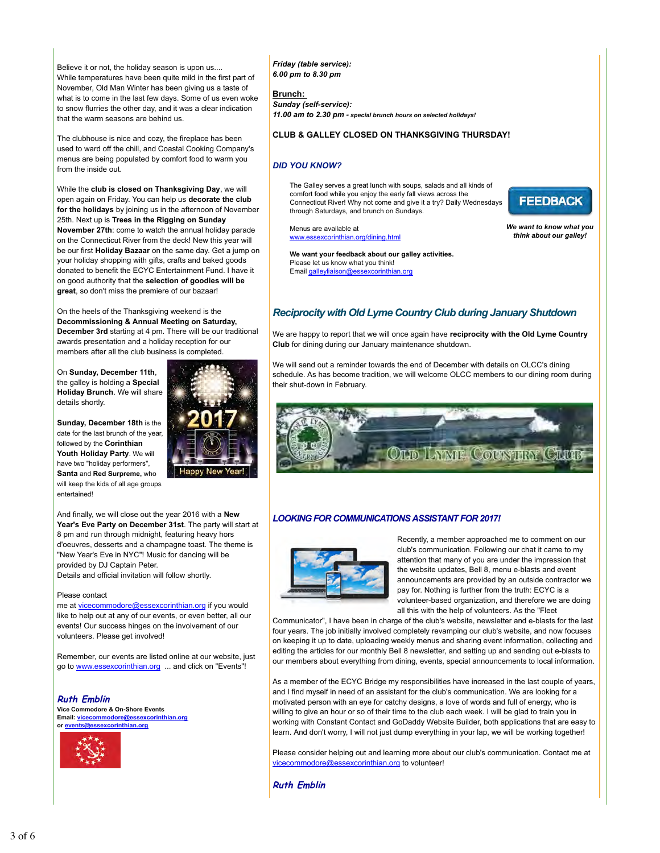Believe it or not, the holiday season is upon us.... While temperatures have been quite mild in the first part of November, Old Man Winter has been giving us a taste of what is to come in the last few days. Some of us even woke to snow flurries the other day, and it was a clear indication that the warm seasons are behind us.

The clubhouse is nice and cozy, the fireplace has been used to ward off the chill, and Coastal Cooking Company's menus are being populated by comfort food to warm you from the inside out.

While the **club is closed on Thanksgiving Day**, we will open again on Friday. You can help us **decorate the club for the holidays** by joining us in the afternoon of November 25th. Next up is **Trees in the Rigging on Sunday November 27th**: come to watch the annual holiday parade on the Connecticut River from the deck! New this year will be our first **Holiday Bazaar** on the same day. Get a jump on your holiday shopping with gifts, crafts and baked goods donated to benefit the ECYC Entertainment Fund. I have it on good authority that the **selection of goodies will be great**, so don't miss the premiere of our bazaar!

On the heels of the Thanksgiving weekend is the **Decommissioning & Annual Meeting on Saturday, December 3rd** starting at 4 pm. There will be our traditional awards presentation and a holiday reception for our members after all the club business is completed.

On **Sunday, December 11th**, the galley is holding a **Special Holiday Brunch**. We will share details shortly.

**Sunday, December 18th** is the date for the last brunch of the year, followed by the **Corinthian Youth Holiday Party**. We will have two "holiday performers", **Santa** and **Red Surpreme,** who will keep the kids of all age groups entertained!

And finally, we will close out the year 2016 with a **New Year's Eve Party on December 31st**. The party will start at 8 pm and run through midnight, featuring heavy hors d'oeuvres, desserts and a champagne toast. The theme is "New Year's Eve in NYC"! Music for dancing will be provided by DJ Captain Peter. Details and official invitation will follow shortly.

### Please contact

me at vicecommodore@essexcorinthian.org if you would like to help out at any of our events, or even better, all our events! Our success hinges on the involvement of our volunteers. Please get involved!

Remember, our events are listed online at our website, just go to www.essexcorinthian.org ... and click on "Events"!

### **Ruth Emblin**

**Vice Commodore & On-Shore Events Email: vicecommodore@essexcorinthian.org or events@essexcorinthian.org**



*Friday (table service): 6.00 pm to 8.30 pm*

**Brunch:**  *Sunday (self-service): 11.00 am to 2.30 pm - special brunch hours on selected holidays!*

### **CLUB & GALLEY CLOSED ON THANKSGIVING THURSDAY!**

### *DID YOU KNOW?*

The Galley serves a great lunch with soups, salads and all kinds of comfort food while you enjoy the early fall views across the Connecticut River! Why not come and give it a try? Daily Wednesdays through Saturdays, and brunch on Sundays.

Menus are available at www.essexcorinthian.org/dining.html *We want to know what you think about our galley!*

**FEEDBACK** 

**We want your feedback about our galley activities.** Please let us know what you think! Email galleyliaison@essexcorinthian.org

# *Reciprocity with Old Lyme Country Club during January Shutdown*

We are happy to report that we will once again have **reciprocity with the Old Lyme Country Club** for dining during our January maintenance shutdown.

We will send out a reminder towards the end of December with details on OLCC's dining schedule. As has become tradition, we will welcome OLCC members to our dining room during their shut-down in February.



### *LOOKING FOR COMMUNICATIONS ASSISTANT FOR 2017!*



Recently, a member approached me to comment on our club's communication. Following our chat it came to my attention that many of you are under the impression that the website updates, Bell 8, menu e-blasts and event announcements are provided by an outside contractor we pay for. Nothing is further from the truth: ECYC is a volunteer-based organization, and therefore we are doing all this with the help of volunteers. As the "Fleet

Communicator", I have been in charge of the club's website, newsletter and e-blasts for the last four years. The job initially involved completely revamping our club's website, and now focuses on keeping it up to date, uploading weekly menus and sharing event information, collecting and editing the articles for our monthly Bell 8 newsletter, and setting up and sending out e-blasts to our members about everything from dining, events, special announcements to local information.

As a member of the ECYC Bridge my responsibilities have increased in the last couple of years, and I find myself in need of an assistant for the club's communication. We are looking for a motivated person with an eye for catchy designs, a love of words and full of energy, who is willing to give an hour or so of their time to the club each week. I will be glad to train you in working with Constant Contact and GoDaddy Website Builder, both applications that are easy to learn. And don't worry, I will not just dump everything in your lap, we will be working together!

Please consider helping out and learning more about our club's communication. Contact me at vicecommodore@essexcorinthian.org to volunteer!

**Ruth Emblin**

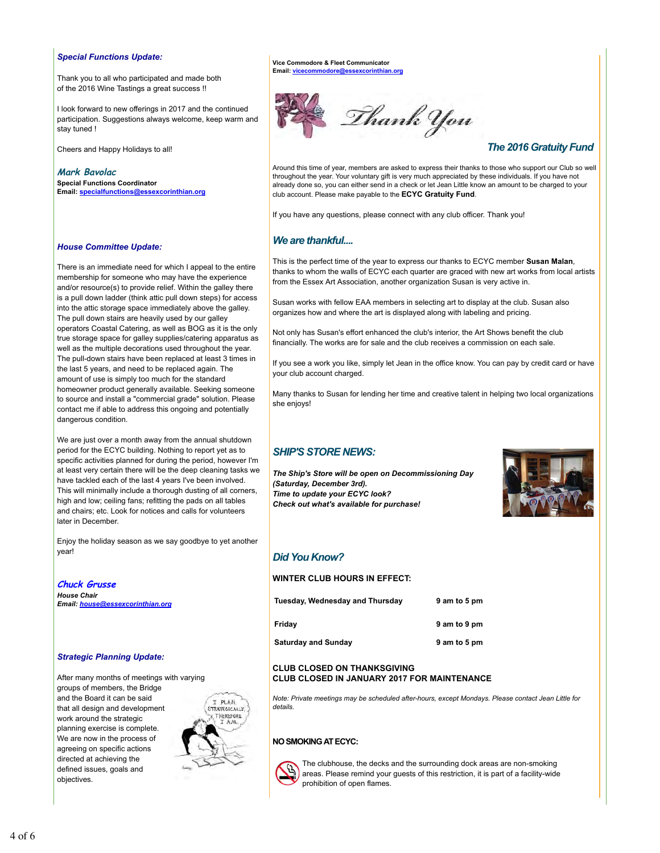### *Special Functions Update:*

Thank you to all who participated and made both of the 2016 Wine Tastings a great success !!

I look forward to new offerings in 2017 and the continued participation. Suggestions always welcome, keep warm and stay tuned !

Cheers and Happy Holidays to all!

**Mark Bavolac Special Functions Coordinator Email: specialfunctions@essexcorinthian.org**

# *House Committee Update:*

There is an immediate need for which I appeal to the entire membership for someone who may have the experience and/or resource(s) to provide relief. Within the galley there is a pull down ladder (think attic pull down steps) for access into the attic storage space immediately above the galley. The pull down stairs are heavily used by our galley operators Coastal Catering, as well as BOG as it is the only true storage space for galley supplies/catering apparatus as well as the multiple decorations used throughout the year. The pull-down stairs have been replaced at least 3 times in the last 5 years, and need to be replaced again. The amount of use is simply too much for the standard homeowner product generally available. Seeking someone to source and install a "commercial grade" solution. Please contact me if able to address this ongoing and potentially dangerous condition.

We are just over a month away from the annual shutdown period for the ECYC building. Nothing to report yet as to specific activities planned for during the period, however I'm at least very certain there will be the deep cleaning tasks we have tackled each of the last 4 years I've been involved. This will minimally include a thorough dusting of all corners, high and low; ceiling fans; refitting the pads on all tables and chairs; etc. Look for notices and calls for volunteers later in December.

Enjoy the holiday season as we say goodbye to yet another year!

**Chuck Grusse** *House Chair Email: house@essexcorinthian.org*

### *Strategic Planning Update:*

After many months of meetings with varying groups of members, the Bridge and the Board it can be said that all design and development work around the strategic planning exercise is complete. We are now in the process of agreeing on specific actions directed at achieving the defined issues, goals and objectives.



**Vice Commodore & Fleet Communicator Email: vicecon** 



# *The 2016 Gratuity Fund*

Around this time of year, members are asked to express their thanks to those who support our Club so well throughout the year. Your voluntary gift is very much appreciated by these individuals. If you have not already done so, you can either send in a check or let Jean Little know an amount to be charged to your club account. Please make payable to the **ECYC Gratuity Fund**.

If you have any questions, please connect with any club officer. Thank you!

# *We are thankful....*

This is the perfect time of the year to express our thanks to ECYC member **Susan Malan**, thanks to whom the walls of ECYC each quarter are graced with new art works from local artists from the Essex Art Association, another organization Susan is very active in.

Susan works with fellow EAA members in selecting art to display at the club. Susan also organizes how and where the art is displayed along with labeling and pricing.

Not only has Susan's effort enhanced the club's interior, the Art Shows benefit the club financially. The works are for sale and the club receives a commission on each sale.

If you see a work you like, simply let Jean in the office know. You can pay by credit card or have your club account charged.

Many thanks to Susan for lending her time and creative talent in helping two local organizations she enjoys!

# *SHIP'S STORE NEWS:*

*The Ship's Store will be open on Decommissioning Day (Saturday, December 3rd). Time to update your ECYC look? Check out what's available for purchase!*



# *Did You Know?*

### **WINTER CLUB HOURS IN EFFECT:**

| Tuesday, Wednesday and Thursday | 9 am to 5 pm |
|---------------------------------|--------------|
| Friday                          | 9 am to 9 pm |
| <b>Saturday and Sunday</b>      | 9 am to 5 pm |

### **CLUB CLOSED ON THANKSGIVING CLUB CLOSED IN JANUARY 2017 FOR MAINTENANCE**

*Note: Private meetings may be scheduled after-hours, except Mondays. Please contact Jean Little for details.*

### **NO SMOKING AT ECYC:**



The clubhouse, the decks and the surrounding dock areas are non-smoking areas. Please remind your guests of this restriction, it is part of a facility-wide prohibition of open flames.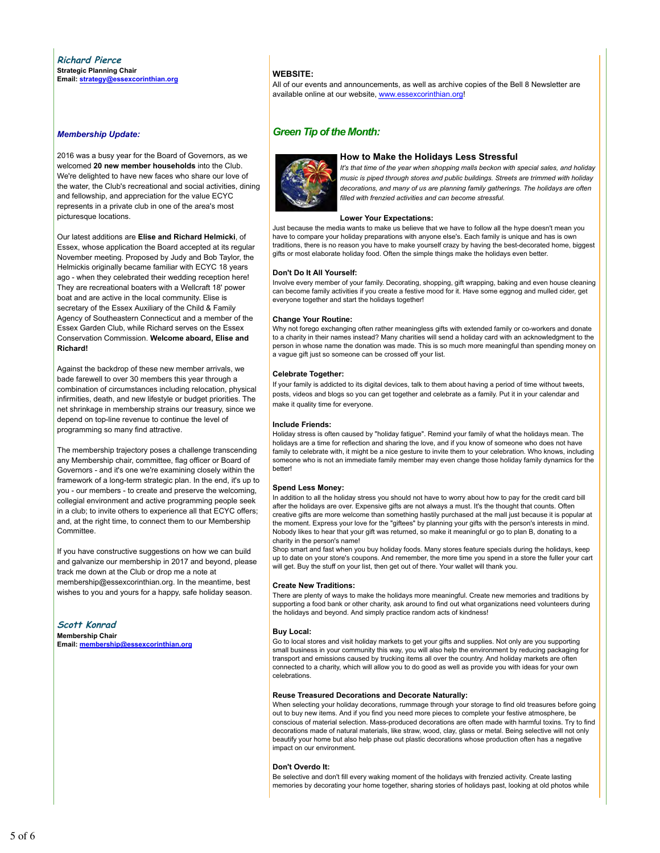#### **Richard Pierce Strategic Planning Chair Email: strategy@essexcorinthian.org**

#### *Membership Update:*

2016 was a busy year for the Board of Governors, as we welcomed **20 new member households** into the Club. We're delighted to have new faces who share our love of the water, the Club's recreational and social activities, dining and fellowship, and appreciation for the value ECYC represents in a private club in one of the area's most picturesque locations.

Our latest additions are **Elise and Richard Helmicki**, of Essex, whose application the Board accepted at its regular November meeting. Proposed by Judy and Bob Taylor, the Helmickis originally became familiar with ECYC 18 years ago - when they celebrated their wedding reception here! They are recreational boaters with a Wellcraft 18' power boat and are active in the local community. Elise is secretary of the Essex Auxiliary of the Child & Family Agency of Southeastern Connecticut and a member of the Essex Garden Club, while Richard serves on the Essex Conservation Commission. **Welcome aboard, Elise and Richard!**

Against the backdrop of these new member arrivals, we bade farewell to over 30 members this year through a combination of circumstances including relocation, physical infirmities, death, and new lifestyle or budget priorities. The net shrinkage in membership strains our treasury, since we depend on top-line revenue to continue the level of programming so many find attractive.

The membership trajectory poses a challenge transcending any Membership chair, committee, flag officer or Board of Governors - and it's one we're examining closely within the framework of a long-term strategic plan. In the end, it's up to you - our members - to create and preserve the welcoming, collegial environment and active programming people seek in a club; to invite others to experience all that ECYC offers; and, at the right time, to connect them to our Membership Committee.

If you have constructive suggestions on how we can build and galvanize our membership in 2017 and beyond, please track me down at the Club or drop me a note at membership@essexcorinthian.org. In the meantime, best wishes to you and yours for a happy, safe holiday season.

**Scott Konrad Membership Chair Email: membership@essexcorinthian.org**

### **WEBSITE:**

All of our events and announcements, as well as archive copies of the Bell 8 Newsletter are available online at our website, www.essexcorinthian.org!

### *Green Tip of the Month:*



### **How to Make the Holidays Less Stressful**

*It's that time of the year when shopping malls beckon with special sales, and holiday music is piped through stores and public buildings. Streets are trimmed with holiday decorations, and many of us are planning family gatherings. The holidays are often filled with frenzied activities and can become stressful.*

#### **Lower Your Expectations:**

Just because the media wants to make us believe that we have to follow all the hype doesn't mean you have to compare your holiday preparations with anyone else's. Each family is unique and has is own traditions, there is no reason you have to make yourself crazy by having the best-decorated home, biggest gifts or most elaborate holiday food. Often the simple things make the holidays even better.

#### **Don't Do It All Yourself:**

Involve every member of your family. Decorating, shopping, gift wrapping, baking and even house cleaning can become family activities if you create a festive mood for it. Have some eggnog and mulled cider, get everyone together and start the holidays together!

#### **Change Your Routine:**

Why not forego exchanging often rather meaningless gifts with extended family or co-workers and donate to a charity in their names instead? Many charities will send a holiday card with an acknowledgment to the person in whose name the donation was made. This is so much more meaningful than spending money on a vague gift just so someone can be crossed off your list.

#### **Celebrate Together:**

If your family is addicted to its digital devices, talk to them about having a period of time without tweets, posts, videos and blogs so you can get together and celebrate as a family. Put it in your calendar and make it quality time for everyone.

### **Include Friends:**

Holiday stress is often caused by "holiday fatigue". Remind your family of what the holidays mean. The holidays are a time for reflection and sharing the love, and if you know of someone who does not have family to celebrate with, it might be a nice gesture to invite them to your celebration. Who knows, including someone who is not an immediate family member may even change those holiday family dynamics for the better!

### **Spend Less Money:**

In addition to all the holiday stress you should not have to worry about how to pay for the credit card bill after the holidays are over. Expensive gifts are not always a must. It's the thought that counts. Often creative gifts are more welcome than something hastily purchased at the mall just because it is popular at the moment. Express your love for the "giftees" by planning your gifts with the person's interests in mind. Nobody likes to hear that your gift was returned, so make it meaningful or go to plan B, donating to a charity in the person's name!

Shop smart and fast when you buy holiday foods. Many stores feature specials during the holidays, keep up to date on your store's coupons. And remember, the more time you spend in a store the fuller your cart will get. Buy the stuff on your list, then get out of there. Your wallet will thank you.

#### **Create New Traditions:**

There are plenty of ways to make the holidays more meaningful. Create new memories and traditions by supporting a food bank or other charity, ask around to find out what organizations need volunteers during the holidays and beyond. And simply practice random acts of kindness!

#### **Buy Local:**

Go to local stores and visit holiday markets to get your gifts and supplies. Not only are you supporting small business in your community this way, you will also help the environment by reducing packaging for transport and emissions caused by trucking items all over the country. And holiday markets are often connected to a charity, which will allow you to do good as well as provide you with ideas for your own celebrations.

#### **Reuse Treasured Decorations and Decorate Naturally:**

When selecting your holiday decorations, rummage through your storage to find old treasures before going out to buy new items. And if you find you need more pieces to complete your festive atmosphere, be conscious of material selection. Mass-produced decorations are often made with harmful toxins. Try to find decorations made of natural materials, like straw, wood, clay, glass or metal. Being selective will not only beautify your home but also help phase out plastic decorations whose production often has a negative impact on our environment.

### **Don't Overdo It:**

Be selective and don't fill every waking moment of the holidays with frenzied activity. Create lasting memories by decorating your home together, sharing stories of holidays past, looking at old photos while